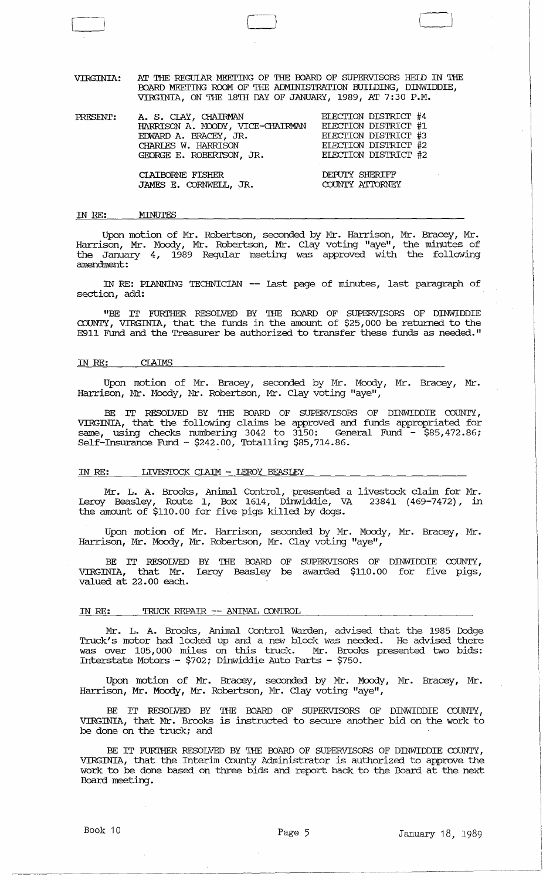VIRGINIA: AT THE REGULAR MEETING OF THE BOARD OF SUPERVISORS HEID IN THE BOARD MEETING ROOM OF THE ADMINISTRATION BUIIDING, DINWIDDIE, VIRGINIA, ON THE 18'IH DAY OF JANUARY, 1989, AT 7:30 P.M.

[ ( 1 iJ

| PRESENT: | A. S. CLAY, CHAIRMAN<br>HARRISON A. MOODY, VICE-CHAIRMAN<br>EDWARD A. BRACEY, JR.<br>CHARLES W. HARRISON<br>GEORGE E. ROBERTSON, JR. | ELECTION DISTRICT #4<br>ELECTION DISTRICT #1<br>ELECTION DISTRICT #3<br>ELECTION DISTRICT #2<br>ELECTION DISTRICT #2 |
|----------|--------------------------------------------------------------------------------------------------------------------------------------|----------------------------------------------------------------------------------------------------------------------|
|          | CIAIBORNE FISHER<br>JAMES E. CORNWELL, JR.                                                                                           | DEPUTY SHERIFF<br>COUNTY ATTORNEY                                                                                    |

IN RE: MINUTES

Upon motion of Mr. Robertson, seconded by Mr. Harrison, Mr. Bracey, Mr. Harrison, Mr. Moody, Mr. Robertson, Mr. Clay voting "aye", the minutes of the January 4, 1989 Regular meeting was approved with the following amendment:

IN RE: PIANNING TECHNICIAN -- last page of minutes, last paragraph of section, add:

"BE IT FURIHER RESOLVED BY THE BOARD OF SUPERVISORS OF DINWIDDIE COUNTY, VIRGINIA, that the funds in the amount of \$25,000 be rebrrned to the E911 Fund and the Treasurer be authorized to transfer these funds as needed."

#### IN RE: CIAIMS

Upon motion of Mr. Bracey, seconded by Mr. Moody, Mr. Bracey, Mr. Harrison, Mr. Moody, Mr. Robertson, Mr. Clay voting "aye",

BE IT RESOLVED BY THE BOARD OF SUPERVISORS OF DINWIDDIE COUNTY, VIRGINIA, that the following claims be approved and funds appropriated for same, using checks nmnbering 3042 to 3150: General Fund - \$85,472.86; Self-Insurance Fund - \$242.00, Totalling \$85,714.86.

#### IN RE: LIVESTOCK CLAIM - LEROY BEASLEY

Mr. L. A. Brooks, Animal Control, presented a livestock claim for Mr. Leroy Beasley, Route I, Box 1614, Dinwiddie, VA 23841 (469-7472), in the amount of \$110.00 for five pigs killed by dogs.

Upon motion of Mr. Harrison, seconded by Mr. Moody, Mr. Bracey, Mr. Harrison, Mr. Moody, Mr. Robertson, Mr. Clay voting "aye",

BE IT RESOLVED BY THE BOARD OF SUPERVISORS OF DINWIDDIE COUNTY, VIRGINIA, that Mr. Leroy Beasley be awarded \$110.00 for five pigs, valued at 22.00 each.

#### IN RE: TRUCK REPAIR -- ANIMAL CONTROL

Mr. L. A. Brooks, Animal Control Warden, advised that the 1985 Dodge Truck's motor had locked up and a new block was needed. He advised there was over 105,000 miles on this truck. Mr. Brooks presented two bids: Interstate Motors- \$702; Dinwiddie Auto Parts - \$750.

Upon motion of Mr. Bracey, seconded by Mr. Moody, Mr. Bracey, Mr. Harrison, Mr. Moody, Mr. Robertson, Mr. Clay voting "aye",

BE IT RESOLVED BY THE BOARD OF SUPERVISORS OF DINWIDDIE COUNTY, VIRGINIA, that Mr. Brooks is instructed to secure another bid on the work to be done on the truck; and

BE IT FURITHER RESOLVED BY THE BOARD OF SUPERVISORS OF DINWIDDIE COUNTY, VIRGINIA, that the Interim County Administrator is authorized to approve the work to be done based on three bids and report back to the Board at the next Board meeting.

 $\overline{\phantom{a}}$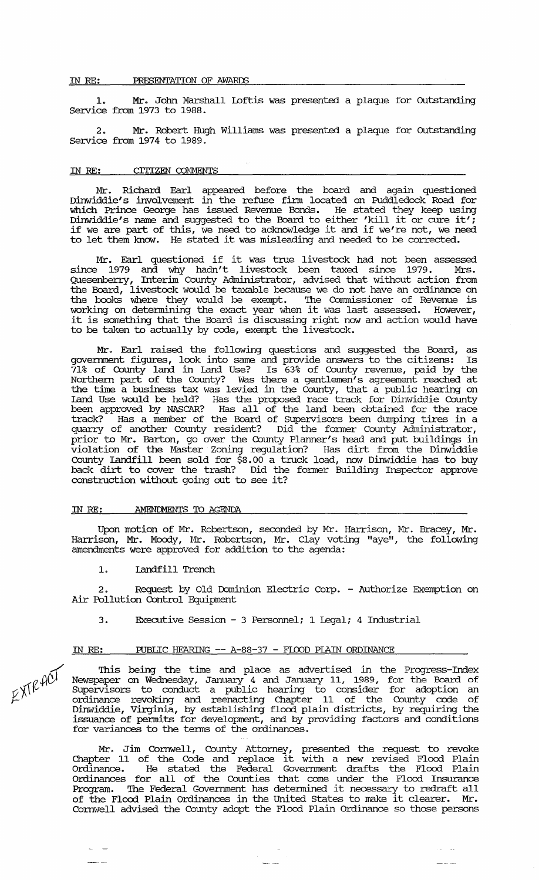#### IN *RE:* PRESENTATION OF AWARDS

1. Mr. John Marshall IDftis was presented a plaque for outstanding Service from 1973 to 1988.

2. Mr. Robert Hugh williams was presented a plaque for outstanding service from 1974 to 1989.

### IN *RE:* CITIZEN COMMENTS

Mr. Richard Earl appeared before the board and again questioned Dinwiddie's involvement in the refuse firm located on Puddledock Road for which Prince George has issued Revenue Bonds. He stated they keep using Dinwiddie's name and suggested to the Board to either 'kill it or cure it'; if we are part of this, we need to acknowledge it and if we're not, we need It we are part of this, we hear to acknowledge it and if we re not, we he<br>to let them know. He stated it was misleading and needed to be corrected.

Mr. Earl questioned if it was true livestock had not been assessed since 1979 and why hadn't livestock been taxed since 1979. Mrs. Quesenberry, Interim County Administrator, advised that without action from the Board, livestock would be taxable because we do not have an ordinance on the books where they would be exempt. The Commissioner of Revenue is working on detennining the exact year when it was last assessed. However, it is something that the Board is discussing right now and action would have to be taken to actually by code, exempt the livestock.

Mr. Earl raised the following questions and suggested the Board, as goverrnnent figures, look into same and provide answers to the citizens: Is 71% of County land in land Use? Is 63% of County revenue, paid by the Northern part of the County? Was there a gentlemen's agreement reached at the time a business tax was levied in the County, that a public hearing on land Use would be held? Has the proposed race track for Dinwiddie County been approved by NASCAR? Has all of the land been obtained for the race track? Has a member of the Board of supervisors been dumping tires in a quarry of another county resident? Did the fonner County Administrator, prior to Mr. Barton, go over the County Planner's head and put buildings in violation of the Master Zoning regulation? Has dirt from the Dinwiddie county Landfill been sold for \$8.00 a truck load, now Dinwiddie has to buy back dirt to cover the trash? Did the fonner Building Inspector approve construction without going out to see it?

### IN RE: **AMENDMENTS TO AGENDA**

Upon motion of Mr. Robertson, seconded by Mr. Harrison, Mr. Bracey, Mr. Harrison, Mr. Moody, Mr. Robertson, Mr. Clay voting "aye", the following amendments were approved for addition to the agenda:

#### 1. Landfill Trench

2. Request by Old Dominion Electric Corp. - Authorize Exemption on Air Pollution Control Equipment

3. Executive session - 3 Personnel; 1 Legal; 4 Industrial

# IN RE: PUBLIC HEARING -- A-88-37 - FLOOD PIAIN ORDINANCE

This being the time and place as advertised in the Progress-Index Newspaper on Wednesday, January 4 and January 11, 1989, for the Board of SUpervisors to conduct a public hearing to consider for adoption an ordinance revoking and reenacting Chapter 11 of the County code of Dinwiddie, Virginia, by establishing flood plain districts, by requiring the issuance of pennits for development, and by providing factors and conditions for variances to the terms of the ordinances.

Mr. Jim Cornwell, County Attorney, presented the request to revoke Chapter 11 of the Code and replace it with a new revised Flood Plain Ordinance. He stated the Federal Gove:rnment drafts the Flood Plain Ordinances for all of the Counties that come under the Flood Insurance ordinances for all of the counties that come under the flood insurance<br>Program. The Federal Government has determined it necessary to redraft all of the Flood Plain Ordinances in the United states to make it clearer. Mr. Cornwell advised the County adopt the Flood Plain Ordinance so those persons

 $-$ 

/.  $K$  $K$  $R$ <sup> $4C$ </sup>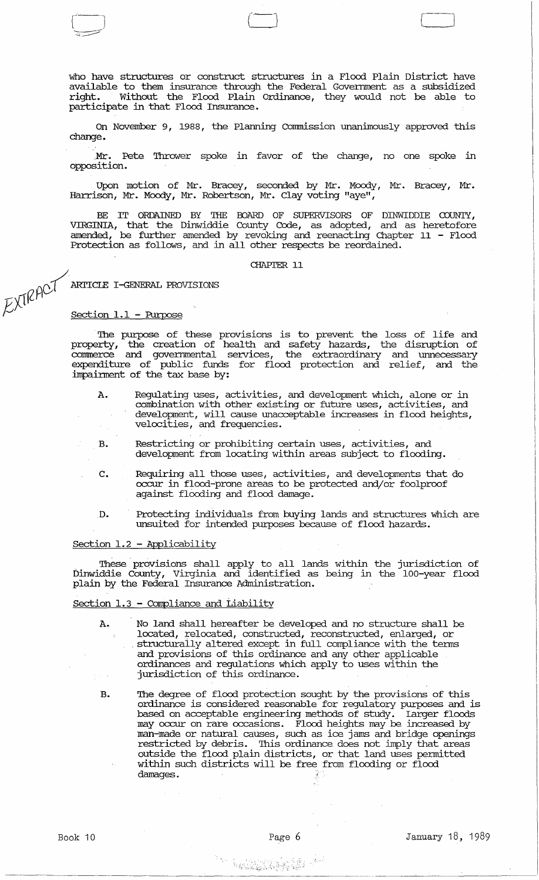who have structures or construct structures in a Flood Plain District have available to them insurance through the Federal Government as a subsidized Without the Flood Plain Ordinance, they would not be able to participate in that Flood Insurance.

 $\begin{array}{ccc} \hline \multicolumn{3}{c}{} & \multicolumn{3}{c}{} & \multicolumn{3}{c}{} & \multicolumn{3}{c}{} & \multicolumn{3}{c}{} & \multicolumn{3}{c}{} & \multicolumn{3}{c}{} & \multicolumn{3}{c}{} & \multicolumn{3}{c}{} & \multicolumn{3}{c}{} & \multicolumn{3}{c}{} & \multicolumn{3}{c}{} & \multicolumn{3}{c}{} & \multicolumn{3}{c}{} & \multicolumn{3}{c}{} & \multicolumn{3}{c}{} & \multicolumn{3}{c}{} & \multicolumn{3}{c}{} & \multicolumn{3}{c}{} & \$ 

On November 9, 1988, the Plarming commission unanimously approved this change •

. Mr. Pete Thrower spoke in favor of the change, no one spoke in opposition.

Upon motion of Mr. Bracey, seconded by Mr. Moody, Mr. Bracey, Mr. Harrison, Mr. Moody, Mr. Robertson, Mr. Clay voting "aye",

BE IT ORDAINED BY THE BOARD OF SUPERVISORS OF DINWIDDIE COUNTY,<br>VIRGINIA, that the Dinwiddie County Code, as adopted, and as heretofore amended, be further amended by revoking and reenacting Chapter 11 - Flood Protection as follows, and in all other respects be reordained.

#### CHAPTER 11

ARTICLE I-GENERAL PROVISIONS EXTRACT

*)j* Section 1.1 - Purpose

The purpose of these provisions is to prevent the loss of life and property, the creation of health and safety hazards, the disruption of commerce and governmental services, the extraordinary and unnecessary expenditure of public funds for flood protection and relief, and the impainnent of the tax base by:

- A. Regulating uses, activities, and development which, alone or in combination with other existing or future uses, activities, and development, will cause unacceptable increases in flood heights, velocities, and frequencies.
- B. Restricting or prohibiting certain uses, activities, and development from locating within areas subject to flooding.
- C. Requiring all those uses, activities, and developments that do occur in flood-prone areas to be protected and/or foolproof against flooding and flood damage.
	- . D. Protecting individuals from buying lands and structures which are unsuited for intended purposes because of flood hazards.

### section 1.2 - Applicability

These provisions shall apply to all lands within the jurisdiction of Dinwiddie County, Virginia and identified as being in the lOO-year flocxi plain by the Federal Insurance Administration.

Section 1.3 - Compliance and Liability

- A. No land shall hereafter be developed and no structure shall be located, relocated, constructed, reconstructed, enlarged, or . structuraily altered except in full compliance with the terms and provisions of this ordinance and any other applicable ordinances and regulations which apply to uses wi thin the jurisdiction of this ordinance.
- B. The degree of flood protection sought by the provisions of this ordinance is considered reasonable for regulatory purposes and is based on acceptable engineering methods of study. Larger floods may occur on rare occasions. Flood heights may be increased by man-made or natural causes, such as ice jams and bridge openings restricted by debris. '!his ordinance does not imply that areas outside the flocxi plain districts, or that land uses permitted within such districts will be free from flooding or flood damages.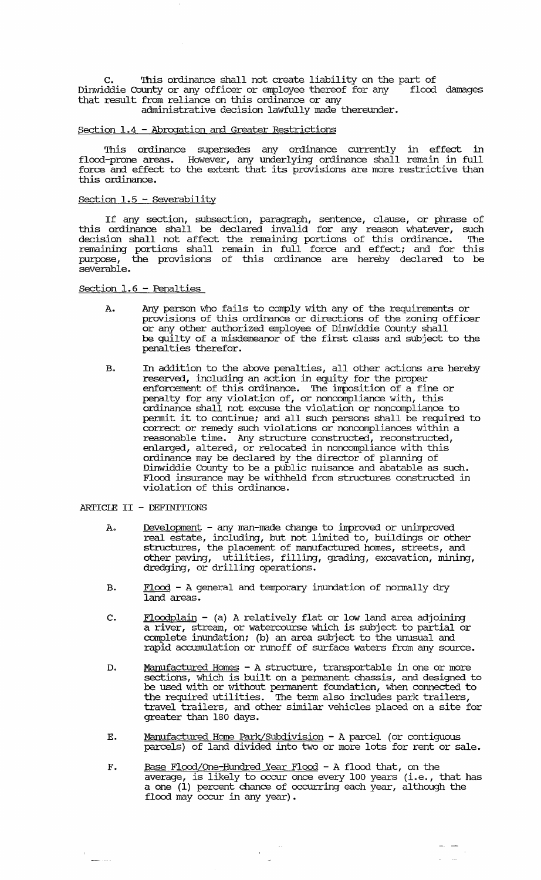C. This ordinance shall not create liability on the part of<br>ddie County or any officer or employee thereof for any flood damages Dinwiddie County or any officer or employee thereof for any flood damages that result from reliance on this ordinance or any administrative decision lawfully made thereunder.

### Section 1.4 - Abrogation and Greater Restrictions

This ordinance supersedes any ordinance currently in effect in flood-prone areas. However, any underlying ordinance shall remain in full force and effect to the extent that its provisions are more restrictive than this ordinance.

## section 1.5 - severability

If any section, subsection, paragraph, sentence, clause, or phrase of this ordinance shall be declared invalid for any reason whatever, such decision shall not affect the remaining portions of this ordinance. The remaining portions shall remain in full force and effect; and for this purpose, the provisions of this ordinance are hereby declared to be severable.

section 1.6 - Penalties

- A. Any person who fails to comply with any of the requirements or provisions of this ordinance or directions of the zoning officer or any other authorized employee of Dinwiddie County shall be guilty of a misdemeanor of the first class and subject to the penalties therefor.
- B. In addition to the above penalties, all other actions are hereby reserved, including an action in equity for the proper enforcement of this ordinance. The imposition of a fine or penalty for any violation of, or noncompliance with, this ordinance shall not excuse the violation or noncompliance to pennit it to continue; and all such persons shall be required to correct or remedy such violations or noncompliances within a  ${\tt reasonable\ time.}$  Any structure constructed, reconstructed, enlarged, altered, or relocated in noncompliance with this ordinance may be declared by the director of planning of Dinwiddie County to be a public nuisance and abatable as such. Flood insurance may be withheld from structures constructed in violation of this ordinance.

ARTICIE II - DEFINITIONS

- A. Development any man-made change to improved or unimproved real estate, including, but not limited to, buildings or other structures, the placement of manufactured homes, streets, and other paving, utilities, filling, grading, excavation, mining, dredging, or drilling operations.
- B. Flood A general and temporary inundation of normally dry land areas.
- c. Floodplain (a) A relatively flat or low land area adjoining a river, stream, or watercourse which is subject to partial or complete inundation; (b) an area subject to the unusual and rapid accumulation or runoff of surface waters from any source.
- D. Manufactured Homes A structure, transportable in one or more sections, which is built on a pennanent chassis, and designed to be used with or without pennanent foundation, when connected to the required utilities. The term also includes park trailers, travel trailers, and other similar vehicles placed on a site for greater than 180 days.
- E. Manufactured Home Park/Subdivision A parcel (or contiguous parcels) of land divided into two or more lots for rent or sale.
- F. Base Flood/One-Hundred Year Flood A flood that, on the <u>also risoly one hand call rised</u> in 11992 and, on any metal has a one (1) percent chance of occurring each year, although the flood may occur in any year).

 $\mathcal{A}$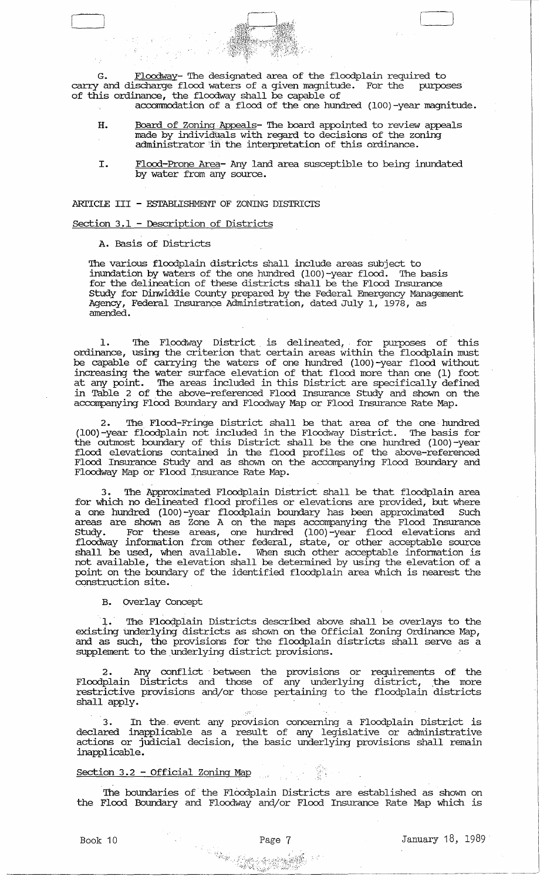G. Floodway- The designated area of the floodplain required to<br>I and discharge flood waters of a given magnitude. For the purposes carry and discharge flood waters of a given magnitude. For the of this ordinance, the floodway shall be capable of

- accommodation of a flood of the one hundred (100)-year magnitude.
- H. Board of Zoning Appeals- The board appointed to review appeals made by individuals with regard to decisions of the zoning administrator in the interpretation of this ordinance.
- 1. Flood-Prone Area- Any land area susceptible to being inundated by water from any source.

ARTICLE III - ESTABLISHMENT OF ZONING DISTRICTS

### section 3.1 - Description of Districts

A. Basis of Districts

The various floodplain districts shall include areas subject to<br>inundation by waters of the one hundred (100)-vear flood. The basis inundation by waters of the one hundred  $(100)$ -year flood. for the delineation of these districts shall be the Flood Insurance Study for Dinwiddie County prepared by the Federal Emergency Management Agency, Federal Insurance Administration, dated July 1, 1978, as amended.

1. The Floodway District is delineated, for purposes of this ordinance, using the criterion that certain areas within the floodplain must be capable of carrying the waters of one hundred (lOO)-year flood without increasing the water surface elevation of that flood more than one (1) foot at any point. 'Ihe areas included in this District are specifically defined in Table 2 of the above-referenced Flood Insurance Study and shown on the accompanying Flood Boundary and Floodway Map or Flood Insurance Rate Map.

2. The Flood-Fringe District shall be that area of the one hundred (lOO)-year floodplain not included in the Floodway District. The basis for the outmost boundary of this District shall be the one hundred (100)-year flood elevations contained in the flood profiles of the above-referenced Flood Insurance study and as shown on the accompanying Flood Boundary and Floodway Map 'or Flood Insurance Rate Map.

The Approximated Floodplain District shall be that floodplain area for which no delineated flood profiles or elevations are provided, but where a one hundred (100) -year floodplain boundary has been approximated Such areas are shown as Zone A on the maps accompanying the Flood Insurance Study. For these areas, one hundred (lOO)-year flood elevations and floodway information from other federal, state, or other acceptable source shall be used, when available. When such other acceptable information is not available, the elevation shall be detennined by using the elevation of a point on the boundary of the identified floodplain area which is nearest the construction site.

B. OVerlay Concept

1. The Floodplain Districts described above shall be overlays to the existing underlying districts as shown on the Official Zoning Ordinance Map, and as such, the provisions for the floodplain districts shall serve as a supplement to the underlying district provisions.

2. Any conflict between the provisions or requirements of the Floodplain Districts and those of any underlying district, the more restrictive provisions and/or those pertaining to the floodplain districts shall apply.

3. In the. event any provision concerning a Floodplain District is declared inapplicable as a result of any legislative or administrative actions or judicial decision, the basic underlying provisions shall remain inapplicable.

### Section 3.2 - Official Zoning Map

The boundaries of the Floodplain Districts are established as shown on the Flood Boundary and Floodway and/or Flood Insurance Rate Map which is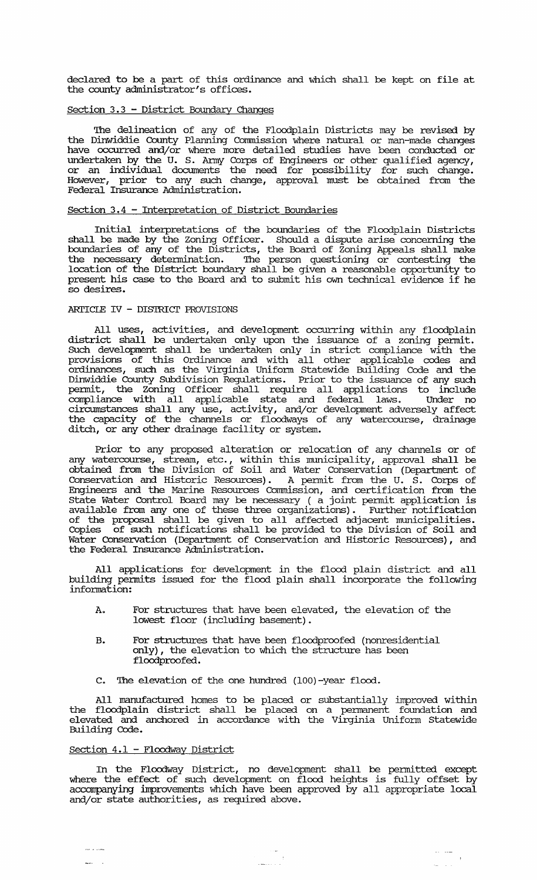declared to be a part of this ordinance and which shall be kept on file at the county administrator's offices.

# section 3.3 - District Boundary Changes

The delineation of any of the Floodplain Districts may be revised by the Dinwiddie County Planning commission where natural or man-made changes have occurred and/or where more detailed studies have been conducted or undertaken by the U. S. Anny Corps of Engineers or other qualified agency, or an individual documents the need for possibility for such change. However, prior to any such change, approval must be obtained from the Federal Insurance Administration.

## section 3.4 - Interpretation of District Boundaries

Initial interpretations of the boundaries of the Floodplain Districts shall be made by the zoning Officer. Should a dispute arise concerning the boundaries of any of the Districts, the Board of zoning Appeals shall make the necessary detennination. The person questioning or contesting the location of the District boundary shall be given a reasonable opportunity to present his case to the Board and to submit his own technical evidence if he so desires.

## ARTICLE IV - DISTRICT PROVISIONS

All uses, activities, and development occurring within any floodplain district shall be undertaken only upon the issuance of a zoning pennit. SUch development shall be undertaken only in strict compliance with the provisions of this Ordinance and with all other applicable codes and ordinances, such as the Virginia Unifonn statewide Building Code and the Dinwiddie County SUbdivision Regulations. Prior to the issuance of any such pennit, the Zoning Officer shall require all applications to include compliance with all applicable state and federal laws. Under no circmnstances shall any use, activity, and/or development adversely affect the capacity of the channels or floodways of any watercourse, drainage ditch, or any other drainage facility or system.

Prior to any proposed alteration or relocation of any channels or of any watercourse, stream, etc., within this municipality, approval shall be obtained from the Division of Soil and Water Conservation (Deparbnent of Conservation and Historic Resources). A pennit from the U. S. Corps of Engineers and the Marine Resources Commission, and certification from the State Water Control Board may be necessary ( a joint pennit application is available from any one of these three organizations). Further notification of the proposal shall be given to all affected adjacent municipalities. Copies of such notifications shall be provided to the Division of Soil and Water Conservation (Department of Conservation and Historic Resources), and the Federal Insurance Administration.

All applications for development in the flood plain district and all building pennits issued for the flood plain shall incorporate the following infonnation:

- A. For structures that have been elevated, the elevation of the lowest floor (including basement) .
- B. For structures that have been floodproofed (nonresidential only), the elevation to which the structure has been floodproofed.
- C. The elevation of the one hundred (100)-year flood.

All manufactured homes to be placed or substantially improved within the floodplain district shall be placed on a pennanent foundation and elevated and anchored in accordance with the Virginia unifonn Statewide Building Code.

### Section 4.1 - Floodway District

 $\sim$   $\sim$   $\sim$ 

In the Floodway District, no development shall be pennitted except where the effect of such development on flood heights is fully offset by accompanying improvements which have been approved by all appropriate local and/or state authorities, as required above.

 $\begin{array}{c} \begin{array}{c} \text{if } \mathbf{a} \\ \text{if } \mathbf{b} \end{array} \end{array}$ 

 $\mathbf{v}(\mathbf{v}) = \mathbf{v}(\mathbf{v})$  $\mathbf{r}$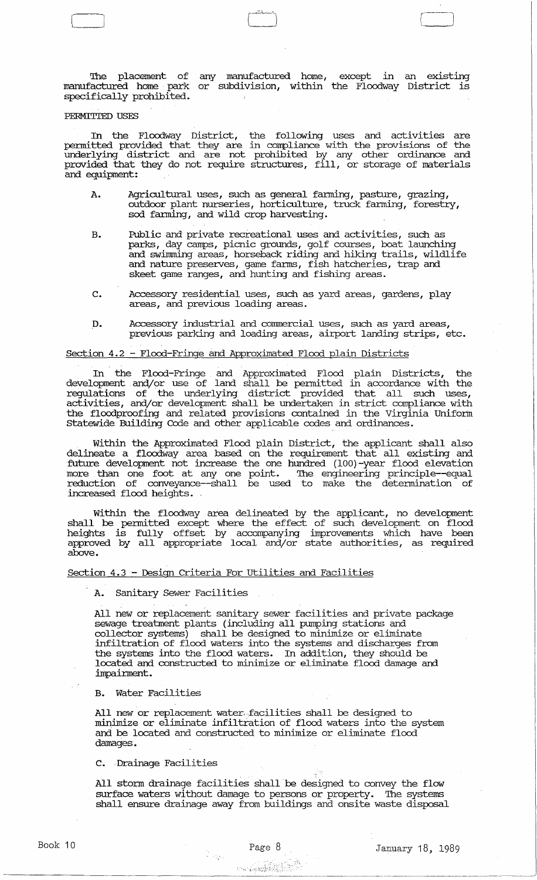The placement of any manufactured home, except in an existing manufactured home park or subdivision, within the Floodway District is specifically prohibited.

r-2-L~.J r

### PERMITTED USES

In the Floodway District, the following uses and activities are permitted provided that they are in compliance with the provisions of the underlying district and are not prohibited by any other ordinance and provided that they do not require structures, fill, or storage of materials and equipment:

- A. Agricultural uses, such as general fanning, pasture, grazing, outdoor plant nurseries, horticulture, truck fanning, forestry, sod farming, and wild crop harvesting.
- B. Public and private recreational uses and activities, such as parks, day camps, picnic grounds, golf courses, boat launching and swinmring areas, horseback riding and hiking trails, wildlife and nature preserves, game fanns, fish hatcheries, trap and skeet game ranges, and hunting and fishing areas.
- C. Accessory residential uses, such as yard areas, gardens, play areas, and previous loading areas.
- D. Accessory industrial and commercial uses, such as yard areas, previous parking and loading areas, airport landing strips, etc.

### Section 4.2 - Flood-Fringe and Approximated Flood plain Districts

In the Flood-Fringe and Approximated Flood plain Districts, the development and/or use of land shall be permitted in accordance with the regulations of the underlying district provided that all such uses, activities, and/or development shall be undertaken in strict compliance with the flood proofing and related provisions contained in the Virginia Uniform statewide Building Code and other applicable codes and ordinances.

Within the Approximated Flood plain District, the applicant shall also delineate a floodway area based on the requirement that all existing and future development not increase the one hundred (100) -year flood elevation more than one foot at any one point. The engineering principle--equal reduction of conveyance--shall be used to make the determination of increased flood heights. .

Within the floodway area delineated by the applicant, no development shall be permitted except where the effect of such development on flood heights is fully offset by accompanying improvements which have been approved by all appropriate local and/or state authorities, as required above.

section 4.3 - Design Criteria For utilities and Facilities

A. Sanitary Sewer Facilities

All new or replacement sanitary sewer facilities and private package sewage treatment plants (including all pumping stations and collector systems) shall be designed to minimize or eliminate infiltration of flood waters into the systems and discharges from the systems into the flood waters. In addition, they should be located and constructed to minimize or eliminate flood damage and impairment.

### B. Water Facilities

All new or replacement water, facilities shall be designed to minimize or eliminate infiltration of flood waters into the system and be located and constructed to minimize or eliminate flood damages.

C. Drainage Facilities

All storm drainage facilities shall be designed to convey the flow surface waters without damage to persons or property. The systems surface waters without damage to persons or property. shall ensure drainage away from buildings and onsite waste disposal

in<br>Peripan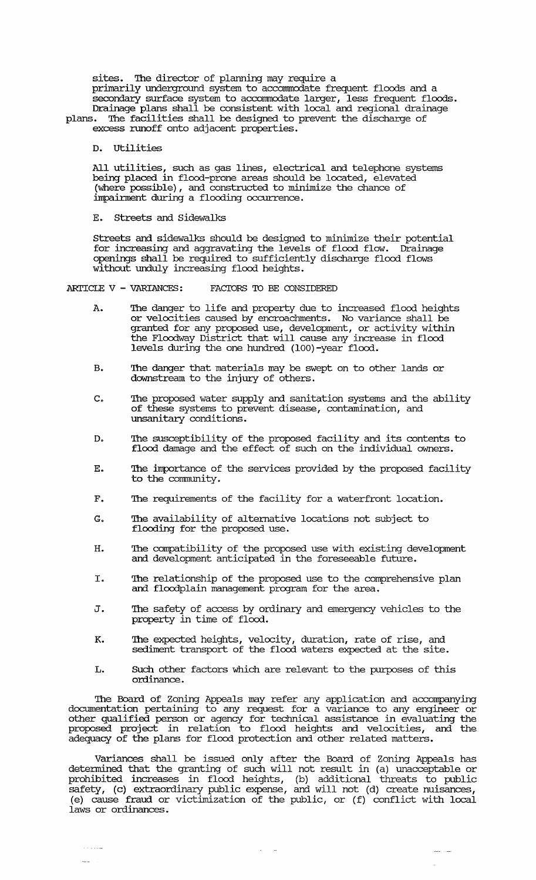sites. The director of planning may require a primarily underground system to acconnnodate frequent floods and a secondary surface system to acconnnodate larger, less frequent floods. Drainage plans shall be consistent with local and regional drainage

plans. The facilities shall be designed to prevent the discharge of excess runoff onto adjacent properties.

D. utilities

All utilities, such as gas lines, electrical and telephone systems being placed in flood-prone areas should be located, elevated (where possible), and constructed to minimize the chance of impainnent during a flooding occurrence.

E. streets and Sidewalks

streets and sidewalks should be designed to minimize their potential for increasing and aggravating the levels of flood flow. Drainage openings shall be required to sufficiently discharge flood flows without unduly increasing flood heights.

ARTICLE  $V - VARTANCES:$  FACTORS TO BE CONSIDERED

- A. The danger to life and property due to increased flood heights or velocities caused by encroachments. No variance shall be granted for any proposed use, development, or activity within the Floodway District that will cause any increase in flood levels during the one hundred (IOO)-year flood.
- B. The danger that materials may be swept on to other lands or downstream to the injury of others.
- C. The proposed water supply and sanitation systems and the ability of these systems to prevent disease, contamination, and unsanitary conditions.
- D. The susceptibility of the proposed facility and its contents to flood damage and the effect of such on the individual owners.
- E. The importance of the services provided by the proposed facility to the community.
- F. The requirements of the facility for a waterfront location.
- G. The availability of alternative locations not subject to flooding for the proposed use.
- H. The compatibility of the proposed use with existing development and development anticipated in the foreseeable future.
- I. The relationship of the proposed use to the comprehensive plan and floodplain management program for the area.
- J. The safety of access by ordinary and emergency vehicles to the property in time of flood.
- K. The expected heights, velocity, duration, rate of rise, and sediment transport of the flood waters expected at the site.
- L. SUch other factors which are relevant to the purposes of this ordinance.

The Board of zoning Appeals may refer any application and accompanying docmnentation pertaining to any request for a variance to any engineer or other qualified person or agency for technical assistance in evaluating the proposed project in relation to flood heights and velocities, and the adequacy of the plans for flood protection and other related matters.

Variances shall be issued only after the Board of Zoning Appeals has determined that the granting of such will not result in (a) unacceptable or prohibited increases in flood heights, (b) additional threats to public safety, (c) extraordinary public expense, and will not (d) create nuisances, (e) cause fraud or victimization of the public, or (f) conflict with local laws or ordinances.

 $\Delta\phi=0.1$ 

 $\sim$  -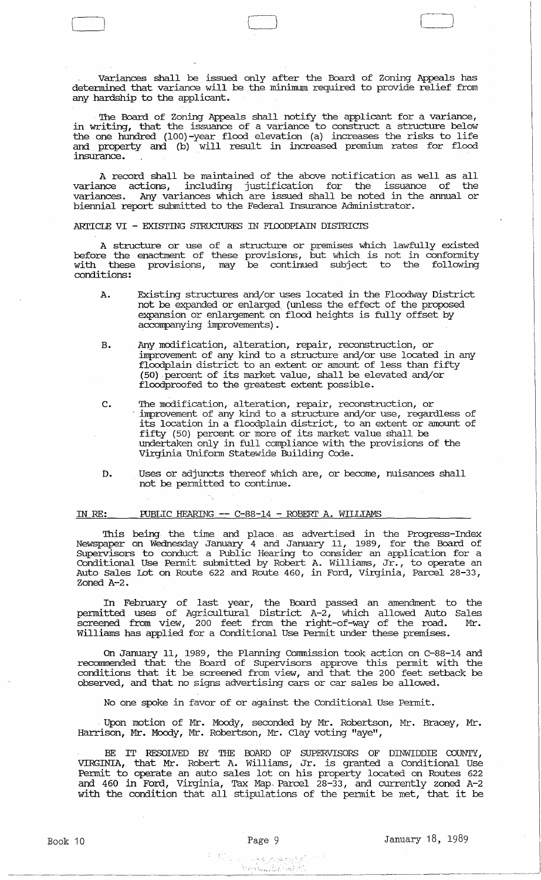variances Shall be issued only after the Board of Zoning Appeals has detennined that variance will be the minimum required to provide relief from any hardship to the applicant.

The Board of zoning Appeals shall notify the applicant for a variance, in writing, that the issuance of a variance to construct a structure below the one hundred (100) -year flood elevation (a) increases the risks to life and property and (b) will result in increased premium rates for flood insurance.

A record shall be maintained of the above notification as well as all variance actions, including justification for the issuance of the variances. Any variances which are issued shall be noted in the annual or biennial report submitted to the Federal Insurance Administrator.

ARTICLE VI - EXISTING STRUCTURES IN FLOODPLAIN DISTRICTS

A structure or use of a structure or premises which lawfully existed before the enactment of these provisions, but which is not in conformity with these provisions, may be continued subject to the following conditions:

- A. Existing structures and/or uses located in the Floodway District not be expanded or enlarged, (unless the effect of the proposed expansion or enlargement on flood heights is fully offset by accompanying improvements).
- B. Any modification, alteration, repair, reconstruction, or improvement of any kind to a structure and/or use located in any floodplain district to an extent or amount of less than fifty (50) .percent of its market value, shall be elevated and/or floodproofed to the greatest extent possible.
- C. The modification, alteration, repair, reconstruction, or improvement of any kind to a structure and/or use, regardless of its location in a floodplain district, to an extent or amount of fifty (50) percent or more of its market value shall be undertaken only in full compliance with the provisions of the Virginia Uniform statewide Building Code.
- D. Uses or adjuncts thereof which are, or become, nuisances shall not be permitted to continue.

# IN RE: PUBLIC HEARING -- C-88-14 - ROBERT A. WILLIAMS

This being the time and place. as advertised in the Progress-Index Newspaper on Wednesday January 4 and January 11, 1989, for the Board of Supervisors to conduct a Public Hearing to consider an application for a conditional Use Permit submitted by Robert A. Williams, Jr., to operate an Auto Sales lot on Route 622 and Route 460, in Ford, Virginia, Parcel 28-33, Zoned A-2.

In February of last year, the Board passed an amendment to the permitted uses of Agricultural District A-2, which allowed Auto Sales screened from view, 200 feet from the right-of-way of the road. Mr. Williams has applied for a Conditional Use permit under these premises.

On January 11, 1989, the Planning Commission took action on C-88-14 and recomnended that the Board of supervisors approve this permit with the conditions that it be screened from view, and that the 200 feet setback be observed, and that no .signs advertising cars or car sales be allowed.

No one spoke in favor of or against the Conditional Use Permit .

. Upon motion of Mr. Moody, seconded by Mr. Robertson, Mr. Bracey, Mr. Harrison, Mr. Moody, Mr. Robertson, Mr. Clay voting "aye",

BE IT RESOLVED BY THE BOARD OF SUPERVISORS OF DINWIDDIE COUNTY, VIRGINIA, that Mr. Robert A. Williams, Jr. is granted a Conditional Use Permit to operate an auto sales lot on his property located on Routes 622 and 460 in Ford, Virginia, Tax Map. Parcel 28-33, and currently zoned A-2 and 400 In Ford, virginia, iax map. Farcer 20-55, and currencry zoned A-2<br>with the condition that all stipulations of the permit be met, that it be

**情况合适的(**)

Book 10 **Page 9** January 18, 1989

r--j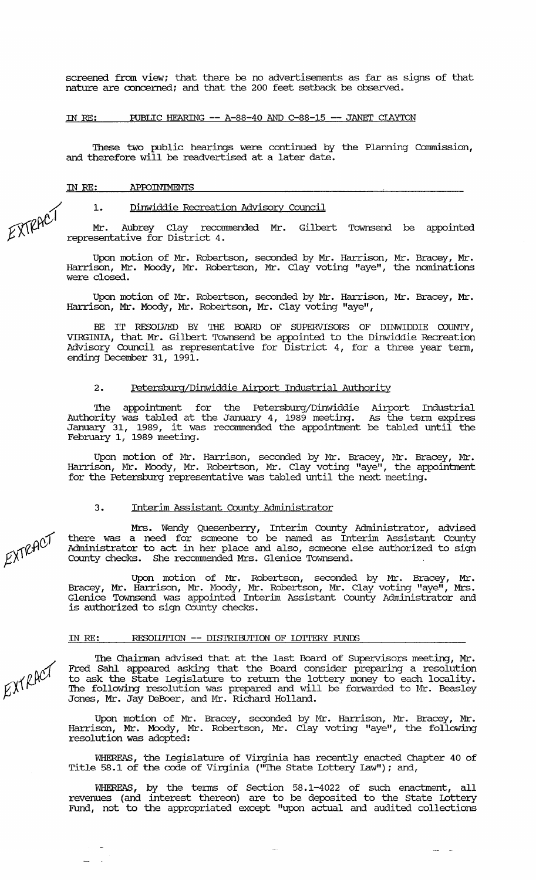screened from view; that there be no advertisements as far as signs of that nature are concerned; and that the 200 feet setback be observed.

#### IN RE: RJBLIC HEARING **--** A-88-40 AND C-88-15 **--** JANEl' CIAY'ION

These two public hearings were continued by the Planning Commission, and therefore will be readvertised at a later date.

IN RE: APPOINTMENTS

Dinwiddie Recreation Advisory Council

 $EXIPACI$  1. Mr. Aubrey Clay recommended Mr. Gilbert Townsend be appointed representative for District 4.

> Upon motion of Mr. Robertson, seconded by Mr. Harrison, Mr. Bracey, Mr. Harrison, Mr. Moody, Mr. Robertson, Mr. Clay voting "aye", the nominations were closed.

> Upon motion of Mr. Robertson, seconded by Mr. Harrison, Mr. Bracey, Mr. Harrison, Mr. Moody, Mr. Robertson, Mr. Clay voting "aye",

> BE IT RESOLVED BY THE BOARD OF SUPERVISORS OF DINWIDDIE COUNTY, VIRGINIA, that Mr. Gilbert Townsend be appointed to the Dinwiddie Recreation Advisory Council as representative for District 4, for a three year term, ending December 31, 1991.

### 2. Petersburg/Dinwiddie Airport Industrial Authority

The appointment for the Petersburg/Dinwiddie Airport Industrial Authority was tabled at the January 4, 1989 meeting. January 31, 1989, it was recommended the appointment February  $1,$  1989 meeting. As the tenn expires be tabled until the

Upon motion of Mr. Harrison, seconded by Mr. Bracey, Mr. Bracey, Mr. Harrison, Mr. Moody, Mr. Robertson, Mr. Clay voting "aye", the appointment for the Petersburg representative was tabled until the next meeting.

### 3. Interim Assistant County Administrator

Mrs. Wendy Quesenberry, Interim County Administrator, advised there was a need for someone to be named as Interim Assistant County Administrator to act in her place and also, someone else authorized to sign County checks. She recommended Mrs. Glenice Townsend.

Upon motion of Mr. Robertson, seconded by Mr. Bracey, Mr. Bracey, Mr. Harrison, Mr. Moody, Mr. Robertson, Mr. Clay voting "aye", Mrs. Glenice Townsend was appointed Interim Assistant County Administrator and is authorized to sign County checks.

### IN RE: RESOIIJTION **--** DISTRIBUTION OF IDITERY FUNDS

The Chairman advised that at the last Board of Supervisors meeting, Mr. Fred Sahl appeared asking that the Board consider preparing a resolution to ask the State Legislature to return the lottery money to each locality. The following resolution was prepared and will be forwarded to Mr. Beasley Jones, Mr. Jay DeBoer, and Mr. Richard Holland.

Upon motion of Mr. Bracey, seconded by Mr. Harrison, Mr. Bracey, Mr. Harrison, Mr. Moody, Mr. Robertson, Mr. Clay voting "aye", the following resolution was adopted:

WHEREAS, the legislature of Virginia has recently enacted Chapter 40 of Title 58.1 of the code of Virginia ("The State Lottery Law"); and,

WHEREAS, by the terms of Section 58.1-4022 of such enactment, all revenues (and interest thereon) are to be deposited to the State Lottery Fund, not to the appropriated except "upon actual and audited collections

EXTRACT

 $EXYRACY$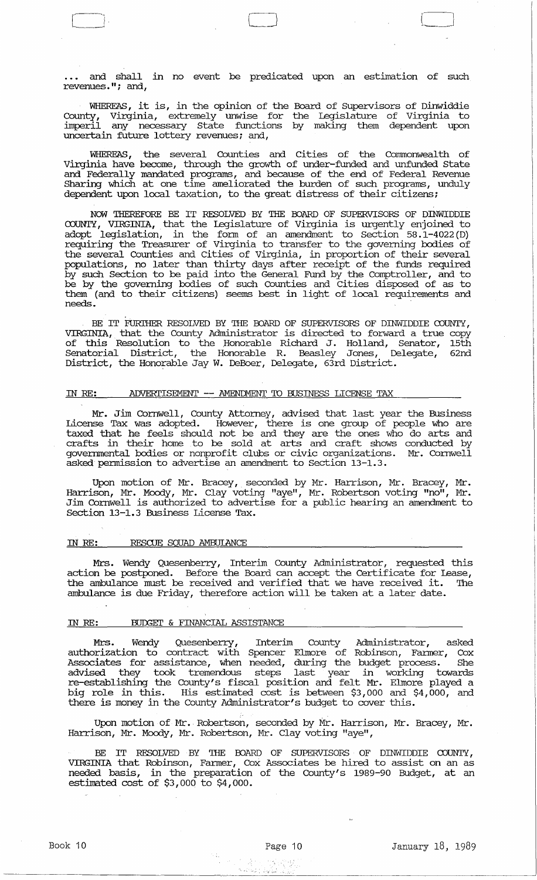.. and shall in no event be predicated upon an estimation of such revenues. "; and,

WHEREAS, it is, in the opinion of the Board of supervisors of Dinwiddie County, Virginia, extremely unwise for the Legislature of Virginia to imperil any necessary state functions by making them dependent upon uncertain future lottery revenues; and,

WHEREAS, the several Counties and cities of the Comnonwealth of Virginia have become, through the growth of under-funded and unfunded state and Federally mandated programs, and because of the end of Federal Revenue Sharing which at one time ameliorated the burden of such programs , unduly dependent upon local taxation, to the great distress of their citizens;

NOW THEREFORE BE IT RESOLVED BY THE OOARD OF SUPERVISORS OF DINWIDDIE COUNTY, VIRGINIA, that the Legislature of Virginia is urgently enjoined to adopt legislation, in the form of an amendment to Section 58.1-4022 (D) requiring the Treasurer of Virginia to transfer to the governing bodies of the several Counties and cities of Virginia, in proportion of their several populations, no later than thirty days after receipt of the funds required by such Section to be paid into the General Fund by the Comptroller, and to be by the governing bodies of such Counties and cities disposed of as to them (and to their citizens) seems best in light of local requirements and needs.

BE IT FURTHER RESOLVED BY THE BOARD OF SUPERVISORS OF DINWIDDIE COUNTY, VIRGINIA, that the County Administrator is directed to forward a true copy of this Resolution to the Honorable Richard J. Holland, Senator, 15th Senatorial District, the Honorable R. Beasley Jones, Delegate, 62nd District, the Honorable Jay W. DeBoer, Delegate,  $\vec{6}$ rd District.

### IN RE: ADVERTISEMENT -- AMENDMENT TO BUSINESS LICENSE TAX

Mr. Jim Cornwell, County Attorney, advised that last year the Business License Tax was adopted. However, there is one group of people who are taxed that he feels should not be and they are the ones who do arts and crafts in their home to be sold at arts and craft shows conducted by goverrnnental bodies or nonprofit clubs or civic organizations. Mr. Cornwell asked permission to advertise an amendment to section 13-1. 3 .

Upon motion of Mr. Bracey, seconded by Mr. Harrison, Mr. Bracey, Mr. Harrison, Mr. Moody, Mr. Clay voting "aye", Mr. Robertson voting "no", Mr. Jim Cornwell is authorized to advertise for a public hearing an amendment to Section 13-1.3 Business License Tax.

### IN RE: RESCUE SQUAD AMBUIANCE

Mrs. Wendy Quesenberry, Interim County Administrator, requested this action be postponed. Before the Board can accept the Certificate for Lease, the ambulance must be received and verified that we have received it. 'Ihe ambulance is due Friday, therefore action will be taken at a later date.

# IN RE: BUDGET & FINANCIAL ASSISTANCE

Mrs. Wendy Quesenberry, Interim County Administrator, asked authorization to contract with Spencer Elmore of Robinson, Fanner, Cox Associates for assistance, when needed, during the budget process. She advised they took tremendous steps last year in working towards re-establishing the County's fiscal position and felt Mr. Elmore played a big role in this. His estimated cost is between \$3,000 and \$4,000, and there is money in the County Administrator's budget to cover this.

Upon motion of Mr., Robertson, seconded by Mr. Harrison, Mr. Bracey, Mr. Harrison, Mr. Moody, Mr. Robertson, Mr. Clay voting "aye",

BE IT RESOLVED BY THE BOARD OF SUPERVISORS OF DINWIDDIE COUNTY, VIRGINIA that Robinson, Fanner, Cox Associates be hired to assist on an as needed basis, in the preparation of the County's 1989-90 Budget, at an estimated cost of \$3,000 to \$4,000.

수 불의

 $\mathcal{L}_{\text{min}}(\cdot)_{\text{max}}$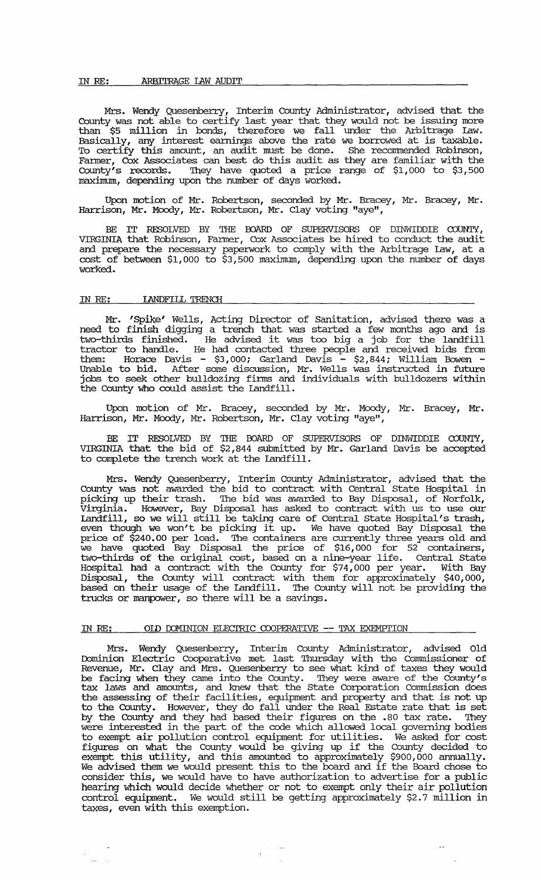#### IN RE: ARBITRAGE lAW AUDIT

Mrs. Wendy Quesenberry, Interim County Administrator, advised that the County was not able to certify last year that they would not be issuing more than \$5 million in bonds, therefore we fall under the Arbitrage law. Basically, any interest earnings above the rate we borrowed at is taxable. To certify this amount, an audit must be done. She recommended Robinson, Fanner, Cox Associates can best do this audit as they are familiar with the County's records. They have quoted a price range of \$1,000 to \$3,500 maximum, depending upon the number of days worked.

Upon motion of Mr. Robertson, seconded by Mr. Bracey, Mr. Bracey, Mr. Harrison, Mr. Moody, Mr. Robertson, Mr. Clay voting "aye",

BE IT RESOLVED BY THE BOARD OF SUPERVISORS OF DINWIDDIE COUNTY, VIRGINIA that Robinson, Farmer, Cox Associates be hired to conduct the audit and prepare the necessary paperwork to comply with the Arbitrage law, at a cost of between \$1,000 to \$3,500 maximum, depending upon the number of days worked.

#### IN RE: IANDFILL TRENCH

Mr. 'Spike' Wells, Acting Director of Sanitation, advised there was a need to finish digging a trench that was started a few months ago and is two-thirds finished. He advised it was too big a job for the landfill tractor to handle. He had contacted three people and received bids from them: Horace Davis - \$3,000; Garland Davis - \$2,844; William Bowen - Unable to bid. After some discussion, Mr. Wells was instructed in future jobs to seek other bulldozing firms and individuals with bulldozers within the County who could assist the Landfill.

Upon motion of Mr. Bracey, seconded by Mr. Moody, Mr. Bracey, Mr . Harrison, Mr. Moody, Mr. Robertson, Mr. Clay voting "aye",

BE IT RESOLVED BY THE BOARD OF SUPERVISORS OF DINWIDDIE COUNTY, VIRGINIA that the bid of \$2,844 submitted by Mr. Garland Davis be accepted to complete the trench work at the Landfill.

Mrs. Wendy Quesenberry, Interim County Administrator, advised that the County was not awarded the bid to contract with Central State Hospital in picking up their trash. The bid was awarded to Bay Disposal, of Norfolk, Virginia. However, Bay Disposal has asked to contract with us to use our landfill, so we will still be taking care of Central State Hospital's trash, even though we won't be picking it up. We have quoted Bay Disposal the price of \$240.00 per load. The containers are currently three years old and re have quoted Bay Disposal the price of \$16,000 for 52 containers, two-thirds of the original cost, based on a nine-year life. Central State Hospital had a contract with the County for \$74,000 per year. With Bay Disposal, the County will contract with them for approximately \$40,000, based on their usage of the Landfill. The County will not be providing the trucks or manpower, so there will be a savings.

### IN RE: OID DOMINION ELECTRIC COOPERATIVE -- TAX EXEMPTION

Mrs. Wendy Quesenberry, Interim County Administrator, advised Old Dominion Electric Cooperative met last Thursday with the Commissioner of Revenue, Mr. Clay and Mrs. Quesenberry to see what kind of taxes they would be facing when they came into the County. They were aware of the County's tax laws and amounts, and knew that the State corporation commission does the assessing of their facilities, equipment and property and that is not up to the County. However, they do fall under the Real Estate rate that is set by the County and they had based their figures on the .80 tax rate. They were interested in the part of the code which allowed local governing bodies to exempt air pollution control equipment for utilities. We asked for cost figures on what the County would be giving up if the County decided to exempt this utility, and this amounted to approximately \$900,000 annually. We advised them we would present this to the board and if the Board chose to consider this, we would have to have authorization to advertise for a public hearing which would decide whether or not to exempt only their air pollution control equipment. We would still be getting approximately \$2.7 million in taxes, even with this exemption.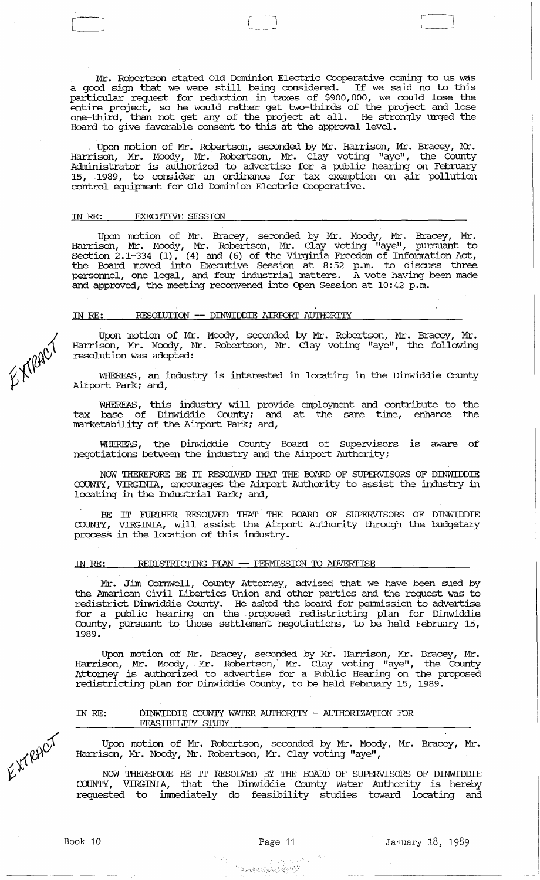Mr. Robertson stated Old Dominion Electric cooperative coming to us was a good sign that we were still being considered. If we said no to this particular request for reduction in taxes of \$900,000, we could lose the entire project, so he would rather get two-thirds of the project and lose one-third, than not get any of the project at all. He strongly urged the Board to give favorable consent to this at the approval level.

Upon motion of Mr. Robertson, seconded by Mr. Harrison, Mr. Bracey, Mr. Harrison, Mr. Moody, Mr. Robertson, Mr. Clay voting "aye", the County Administrator is authorized to advertise for a public hearing on February 15, -1989, . to consider an ordinance for tax exemption on air pollution control equipment for Old Dominion Electric cooperative.

# IN RE: EXECUTIVE SESSION

Upon motion of Mr. Bracey, seconded by Mr. Moody, Mr. Bracey, Mr • Harrison, Mr. Moody, Mr. Robertson, Mr. Clay voting "aye", pursuant to Section 2.1-334 (1), (4) and (6) of the Virginia Freedom of Information Act, the Board moved into Executive Session at 8:52 p.m. to discuss three personnel, one legal, and four industrial matters. A vote having been made and approved, the meeting reconvened into Open Session at  $10:42$  p.m.

# IN RE: RESOIIJTION **--** DINWIDDIE AIRroRI' AUTHORITY

Upon motion of Mr. Moody, seconded by Mr. Robertson, Mr. Bracey, Mr. Harrison, Mr. Moody, Mr. Robertson, Mr. Clay voting "aye", the following resolution was adopted:

WHEREAS, an industry is interested in locating in the Dinwiddie County Airport Park; and,

WHEREAS, this industry will provide employment and contribute to the tax base of Dinwiddie County; and at the same time, enhance the marketability of the Airport Park; and,

WHEREAS, the Dinwiddie County Board of Supervisors is aware of negotiations between the industry and the Airport Authority;

NOW THEREFORE BE IT RESOLVED THAT THE OOARD OF SUPERVISORS OF DINWIDDIE COUNTY, VIRGINIA, encourages the Airport Authority to assist the industry in locating in the Industrial Park; and,

BE IT FURIHER RESOLVED THAT THE OOARD OF SUPERVISORS OF DINWIDDIE COUNTY, VIRGINIA, will assist the Airport Authority through the budgetary process in the location of this industry.

#### IN RE: REDISTRICI'ING PIAN **--** PERMISSION 'TO ADVERI'ISE

Mr. Jim Cornwell, County Attorney, advised that we have been sued by the American civil Liberties Union and other parties and the request was to redistrict Dinwiddie County. He asked the board for permission to advertise for a public hearing on the . proposed redistricting plan for Dinwiddie County, pursuant to those settlement negotiations, to be held February 15, 1989.

Upon motion of Mr. Bracey, seconded by Mr. Harrison, Mr. Bracey, Mr. Harrison, Mr. Moody,. Mr. Robertson,· Mr. Clay voting "aye", the County Attorney is authorized to advertise for a Public Hearing on the proposed redistricting plan for Dinwiddie County, to be held February 15, 1989.

### IN RE: DINWIDDIE COUNTY WATER AUTHORITY - AUTHORIZATION FOR FEASIBILITY STUDY

Upon motion of Mr. Robertson, seconded by Mr. Moody, Mr. Bracey, Mr. Harrison, Mr. Moody, Mr. Robertson, Mr. Clay voting "aye",

NOW THEREFORE BE IT RESOLVED BY THE OOARD OF SUPERVISORS OF DINWIDDIE COUNTY, VIRGINIA, that the Dinwiddie County water Authority is hereby requested to immediately do feasibility studies toward locating and

EXPRET

EXTRACT

 $\label{eq:3.1} \frac{1}{2} \frac{1}{2} \frac{1}{2} \frac{1}{2} \frac{1}{2} \frac{1}{2} \frac{1}{2} \frac{1}{2} \frac{1}{2} \frac{1}{2} \frac{1}{2} \frac{1}{2} \frac{1}{2} \frac{1}{2} \frac{1}{2} \frac{1}{2} \frac{1}{2} \frac{1}{2} \frac{1}{2} \frac{1}{2} \frac{1}{2} \frac{1}{2} \frac{1}{2} \frac{1}{2} \frac{1}{2} \frac{1}{2} \frac{1}{2} \frac{1}{2} \frac{1}{2} \frac{1}{2} \$ 

化学医学

 $\Box$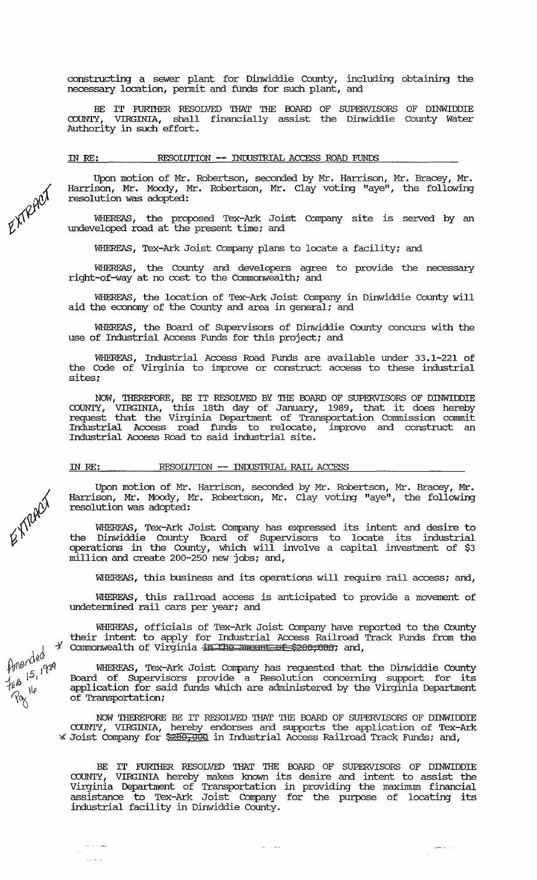constructing a sewer plant for Dinwiddie County, including obtaining the necessary location, pennit and funds for such plant, and

BE IT FURITHER RESOLVED THAT THE BOARD OF SUPERVISORS OF DINWIDDIE COUNTY, VIRGINIA, Shall financially assist the Dinwiddie County Water COUNTY, VIRGINIA, shall<br>Authority in such effort.

IN RE: RESOIDTION **--** INIUSTRIAL ACCESS ROAD FONDS

Upon motion of Mr. Robertson, seconded by Mr. Harrison, Mr. Bracey, Mr. Harrison, Mr. Moody, Mr. Robertson, Mr. Clay voting "aye", the following resolution was adopted:

WHEREAS, the proposed Tex-Ark Joist Company site is served by an undeveloped road at the present time; and

WHEREAS, Tex-Ark Joist Company plans to locate a facility; and

WHEREAS, the County and developers agree to provide the necessary right-of-way at no cost to the Connnonwealth; and

WHEREAS, the location of Tex-Ark Joist Company in Dinwiddie County will aid the economy of the County and area in general; and

WHEREAS, the Board of Supervisors of Dinwiddie County concurs with the use of Industrial Access Funds for this project; and

WHEREAS, Industrial Access Road Funds are available under 33.1-221 of the Code of Virginia to improve or construct access to these industrial sites;

NOW, THEREFORE, BE IT RESOLVED BY THE BOARD OF SUPERVISORS OF DINWIDDIE<br>COUNTY, VIRGINIA, this 18th day of January, 1989, that it does hereby request that the Virginia Department of Transportation Commission commit Industrial Access road funds to relocate, improve and construct an Industrial Access Road to said industrial site.

IN RE: RESOIUTION -- INDUSTRIAL RAIL ACCESS

Upon motion of Mr. Harrison, seconded by Mr. Robertson, Mr. Bracey, Mr. Harrison, Mr. Moody, Mr. Robertson, Mr. Clay voting "aye", the following resolution was adopted:

WHEREAS, Tex-Ark Joist Company has expressed its intent and desire to the Dinwiddie County Board of supervisors to locate its industrial operations in the County, which will involve a capital investment of \$3 million and create 200-250 new jobs; and,

WHEREAS, this business and its operations will require rail access; and,

WHEREAS, this railroad access is anticipated to provide a movement of undetennined rail cars per year; and

WHEREAS, officials of Tex-Ark Joist Company have reported to the County their intent to apply for Industrial Access Railroad Track Funds from the Commonwealth of Virginia + The amount of \$200,000; and,

WHEREAS, Tex-Ark Joist Company has requested that the Dinwiddie County Board of SUpervisors provide a Resolution concerning support for its application for said funds which are administered by the Virginia Department of Transportation;

NOW THEREFORE BE IT RESOLVED THAT THE BOARD OF SUPERVISORS OF DINWIDDIE COUNTY, VIRGINIA, hereby endorses and supports the application of Tex-Ark NOW THEREFORE BE IT RESOLVED THAT THE BOARD OF SUPERVISORS OF DINWIDI<br>COUNTY, VIRGINIA, hereby endorses and supports the application of Tex-;<br>Joist Company for \$200,000 in Industrial Access Railroad Track Funds; and,

BE IT FURTHER RESOLVED THAT THE BOARD OF SUPERVISORS OF DINWIDDIE COUNTY, VIRGINIA hereby makes known its desire and intent to assist the Virginia Department of Transportation in providing the maximum financial assistance to Tex-Ark Joist Company for the purpose of locating its industrial facility in Dinwiddie County.

EXTRACT

 $\not\in\mathbb{X}^{\text{new}}$ 

finended  $\int_{1}^{\pi}$  15, 17<sup>o</sup>

وعاطات

 $\downarrow_{\not\!\!B} \not\!\!B$  .  $'$   $^{\circ}$   $^{\circ}$   $^{\circ}$   $^{\circ}$   $^{\circ}$   $^{\circ}$   $^{\circ}$   $^{\circ}$   $^{\circ}$   $^{\circ}$   $^{\circ}$   $^{\circ}$   $^{\circ}$   $^{\circ}$   $^{\circ}$   $^{\circ}$   $^{\circ}$   $^{\circ}$   $^{\circ}$   $^{\circ}$   $^{\circ}$   $^{\circ}$   $^{\circ}$   $^{\circ}$   $^{\circ}$   $^{\circ}$   $^{\circ}$   $^{\circ}$   $^{\circ}$   $^{\circ}$   $^{\circ}$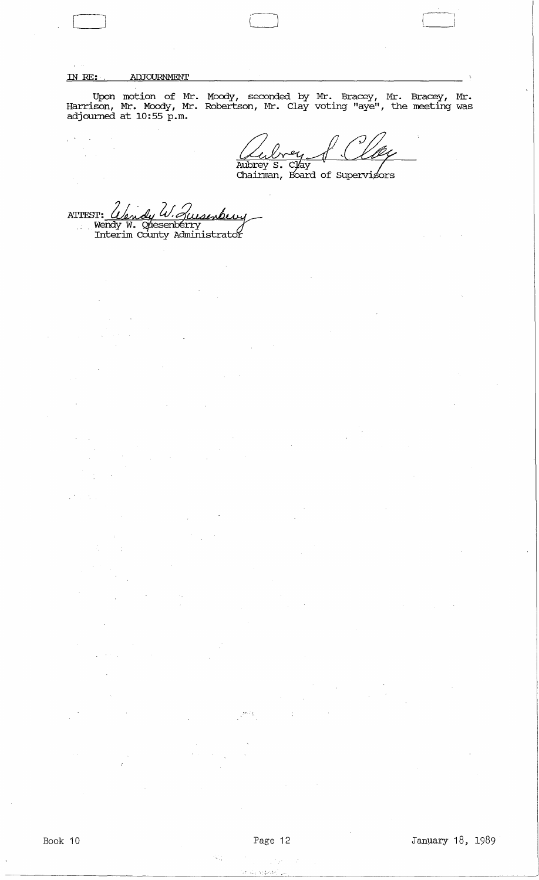# IN RE:· ADJOURNMENT

Upon motion of Mr. Moody, seconded by Mr. Bracey, Mr. Bracey, Mr. Harrison, Mr. Moody, Mr. Robertson, Mr. Clay voting "aye", the meeting was adjourned at 10:55 p.m.

Ll ,--~\

 $\frac{1}{4}$  ,  $\frac{1}{2}$  ,  $\frac{1}{2}$  ,  $\frac{1}{2}$  $\sim$ 

 $\frac{1}{2}$ 

 $\mathcal{P}_{\mathcal{A}}$ 

 $\bar{\gamma}$ 

Aubrey S. Clay<br>Chairman, Board of Supervisors

 $\begin{pmatrix} 1 & 1 \\ 1 & 1 \end{pmatrix}$ 

ATTEST:  $\mathcal{L}$ dy W. Zuisenberry Wendy W. Opesenberry<br>Interim County Administrator  $\mathbb{R}^{2n}$  .

o voj

}'."

Ŵ.